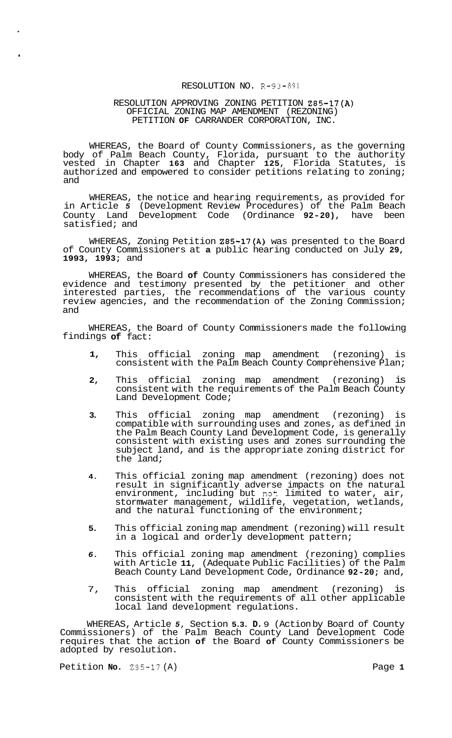## RESOLUTION NO. R-93-891

#### RESOLUTION APPROVING ZONING PETITION Z85-17(A) OFFICIAL ZONING MAP AMENDMENT (REZONING) PETITION **OF** CARRANDER CORPORATION, INC.

WHEREAS, the Board of County Commissioners, as the governing body of Palm Beach County, Florida, pursuant to the authority vested in Chapter **163** and Chapter **125,** Florida Statutes, is authorized and empowered to consider petitions relating to zoning; and

WHEREAS, the notice and hearing requirements, as provided for in Article *5* (Development Review Procedures) of the Palm Beach County Land Development Code (Ordinance **92-20),** have been satisfied; and

WHEREAS, Zoning Petition Z85-17(A) was presented to the Board of County Commissioners at **a** public hearing conducted on July **29, 1993, 1993;** and

WHEREAS, the Board **of** County Commissioners has considered the evidence and testimony presented by the petitioner and other interested parties, the recommendations of the various county review agencies, and the recommendation of the Zoning Commission; and

WHEREAS, the Board of County Commissioners made the following findings **of** fact:

- **1,**  This official zoning map amendment (rezoning) is consistent with the Palm Beach County Comprehensive Plan;
- **2,**  This official zoning map amendment (rezoning) is consistent with the requirements of the Palm Beach County Land Development Code;
- **3.**  This official zoning map amendment (rezoning) is compatible with surrounding uses and zones, as defined in the Palm Beach County Land Development Code, is generally consistent with existing uses and zones surrounding the subject land, and is the appropriate zoning district for the land;
- **4.**  This official zoning map amendment (rezoning) does not result in significantly adverse impacts on the natural environment, including but not limited to water, air, stormwater management, wildlife, vegetation, wetlands, and the natural functioning of the environment;
- **5.**  This official zoning map amendment (rezoning) will result in a logical and orderly development pattern;
- *6.*  This official zoning map amendment (rezoning) complies with Article **11,** (Adequate Public Facilities) of the Palm Beach County Land Development Code, Ordinance **92-20;** and,
- 7, This official zoning map amendment (rezoning) is consistent with the requirements of all other applicable local land development regulations.

WHEREAS, Article *5,* Section **5.3. D.** 9 (Action by Board of County Commissioners) of the Palm Beach County Land Development Code requires that the action **of** the Board **of** County Commissioners be adopted by resolution.

Petition **No. 285-17** (A) Page **1** 

.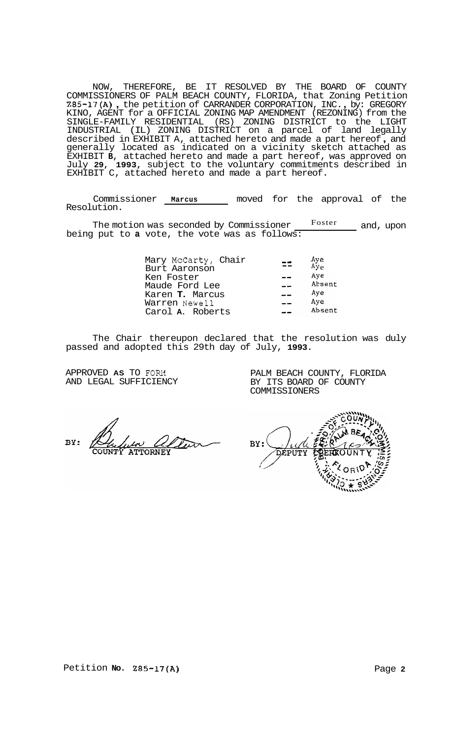NOW, THEREFORE, BE IT RESOLVED BY THE BOARD OF COUNTY COMMISSIONERS OF PALM BEACH COUNTY, FLORIDA, that Zoning Petition 285-17(A) , the petition of CARRANDER CORPORATION, INC. , by: GREGORY KINO, AGENT for a OFFICIAL ZONING MAP AMENDMENT (REZONING) from the SINGLE-FAMILY RESIDENTIAL (RS) ZONING DISTRICT to the LIGHT INDUSTRIAL (IL) ZONING DISTRICT on a parcel of land legally described in EXHIBIT A, attached hereto and made a part hereof, and generally located as indicated on a vicinity sketch attached as EXHIBIT **B,** attached hereto and made a part hereof, was approved on July **29, 1993,** subject to the voluntary commitments described in EXHIBIT C, attached hereto and made a part hereof.

Commissioner **Marcus** moved for the approval of the Resolution.

The motion was seconded by Commissioner Foster and, upon being put to **a** vote, the vote was as follows:

| Mary McCarty, Chair<br>Burt Aaronson | Aye<br>Ay <sub>e</sub> |
|--------------------------------------|------------------------|
| Ken Foster                           | Aye                    |
| Maude Ford Lee                       | Absent                 |
| Karen T. Marcus                      | Aye                    |
| Warren Newell                        | Aye                    |
| Carol A. Roberts                     | Absent                 |

The Chair thereupon declared that the resolution was duly passed and adopted this 29th day of July, **1993.** 

APPROVED **AS** TO FORM AND LEGAL SUFFICIENCY

PALM BEACH COUNTY, FLORIDA BY ITS BOARD OF COUNTY COMMISSIONERS

BY:

BY: DEPUTY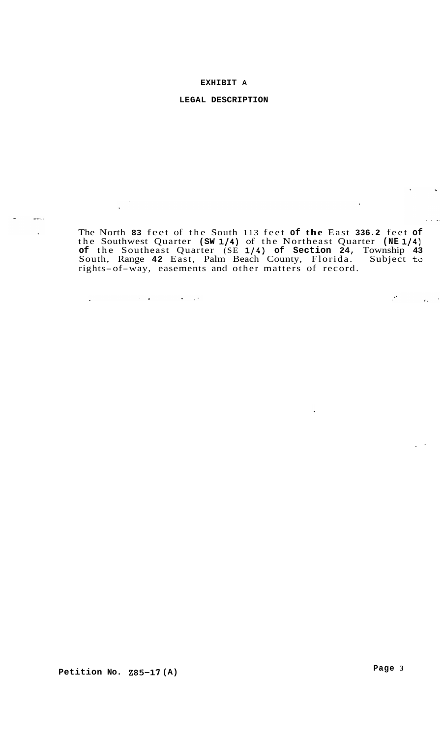## **EXHIBIT A**

## **LEGAL DESCRIPTION**

 $\frac{1}{2}$  $\Delta$ 

 $\bar{\beta}$  $\ddot{\phantom{a}}$ 

 $\Delta \sim 10^4$ 

 $\mathcal{A}^{\mathcal{A}}$  and  $\mathcal{A}^{\mathcal{A}}$  are  $\mathcal{A}^{\mathcal{A}}$  . The set of  $\mathcal{A}^{\mathcal{A}}$ 

The North **83** feet of the South 113 feet **of the** East **336.2** feet **of**  the Southwest Quarter **(SW 1/4)** of the Northeast Quarter **(NE 1/4) of** the Southeast Quarter (SE **l/4) of Section 24,** Township **43**  South, Range 42 East, Palm Beach County, Florida. Subject to rights-of-way, easements and other matters of record.

**Petition NO. 285-17 (A)** 

. -

 $\Delta \sim 10^4$ 

 $\mathcal{O}(\mathcal{O}_\mathcal{O})$ 

 $\mathcal{L} \times \mathcal{L} = \mathcal{L}$  .

 $\langle \hat{q}_k \rangle$  ,  $\hat{r}$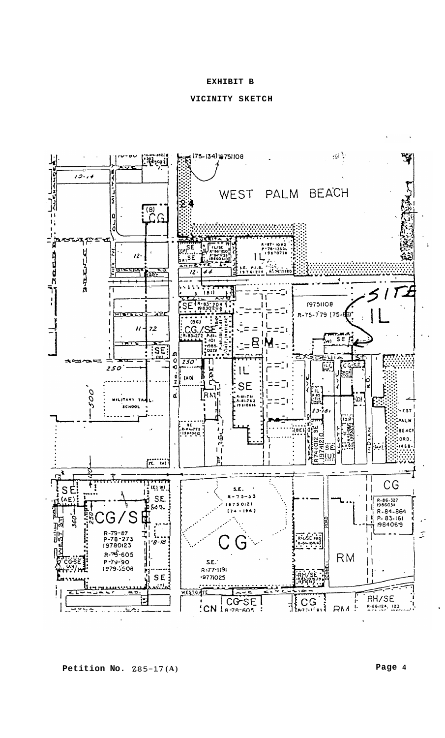#### **EXHIBIT B**

## **VICINITY SKETCH**



**Petition No. 285-17 (A) Page <sup>4</sup>**